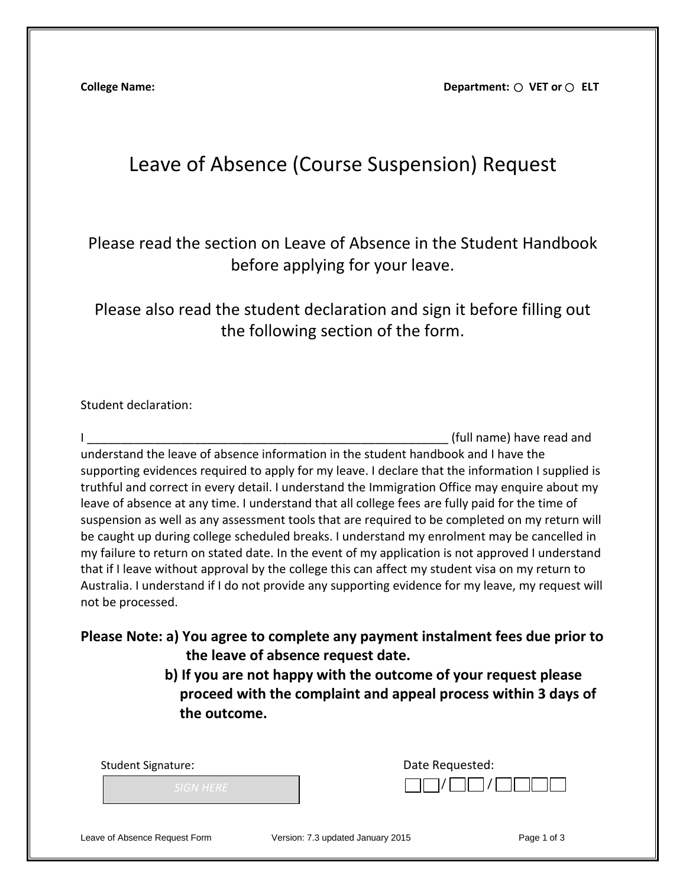**College Name: College Name: Department: O VET or O ELT** 

## Leave of Absence (Course Suspension) Request

Please read the section on Leave of Absence in the Student Handbook before applying for your leave.

Please also read the student declaration and sign it before filling out the following section of the form.

## Student declaration:

I and the state of the state of the state of the state of the state of the state of the state of the state of the state of the state of the state of the state of the state of the state of the state of the state of the stat understand the leave of absence information in the student handbook and I have the supporting evidences required to apply for my leave. I declare that the information I supplied is truthful and correct in every detail. I understand the Immigration Office may enquire about my leave of absence at any time. I understand that all college fees are fully paid for the time of suspension as well as any assessment tools that are required to be completed on my return will be caught up during college scheduled breaks. I understand my enrolment may be cancelled in my failure to return on stated date. In the event of my application is not approved I understand that if I leave without approval by the college this can affect my student visa on my return to Australia. I understand if I do not provide any supporting evidence for my leave, my request will not be processed.

**Please Note: a) You agree to complete any payment instalment fees due prior to the leave of absence request date.**

> **b) If you are not happy with the outcome of your request please proceed with the complaint and appeal process within 3 days of the outcome.**

| <b>Student Signature:</b>     | Date Requested:                   |             |
|-------------------------------|-----------------------------------|-------------|
| <b>SIGN HERE</b>              |                                   |             |
| Leave of Absence Request Form | Version: 7.3 updated January 2015 | Page 1 of 3 |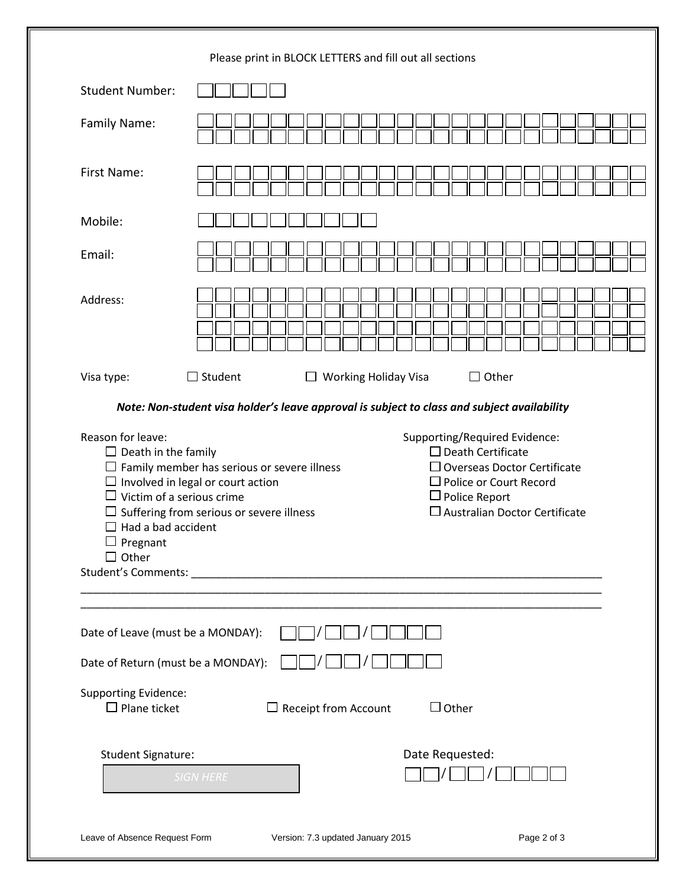|                                                                                                          | Please print in BLOCK LETTERS and fill out all sections                                                                                                                                                                                                                                                                                                                        |
|----------------------------------------------------------------------------------------------------------|--------------------------------------------------------------------------------------------------------------------------------------------------------------------------------------------------------------------------------------------------------------------------------------------------------------------------------------------------------------------------------|
| <b>Student Number:</b>                                                                                   |                                                                                                                                                                                                                                                                                                                                                                                |
| Family Name:                                                                                             |                                                                                                                                                                                                                                                                                                                                                                                |
| <b>First Name:</b>                                                                                       |                                                                                                                                                                                                                                                                                                                                                                                |
| Mobile:                                                                                                  |                                                                                                                                                                                                                                                                                                                                                                                |
| Email:                                                                                                   |                                                                                                                                                                                                                                                                                                                                                                                |
| Address:                                                                                                 |                                                                                                                                                                                                                                                                                                                                                                                |
| Visa type:                                                                                               | $\Box$ Student<br>$\Box$ Other<br>$\Box$ Working Holiday Visa                                                                                                                                                                                                                                                                                                                  |
|                                                                                                          | Note: Non-student visa holder's leave approval is subject to class and subject availability                                                                                                                                                                                                                                                                                    |
| Reason for leave:<br>$\Box$ Death in the family<br>ப<br>Had a bad accident<br>□ Pregnant<br>$\Box$ Other | Supporting/Required Evidence:<br>$\Box$ Death Certificate<br>$\Box$ Family member has serious or severe illness<br>$\Box$ Overseas Doctor Certificate<br>$\Box$ Involved in legal or court action<br>$\Box$ Police or Court Record<br>Victim of a serious crime<br>$\Box$ Police Report<br>$\square$ Australian Doctor Certificate<br>Suffering from serious or severe illness |
|                                                                                                          |                                                                                                                                                                                                                                                                                                                                                                                |
| Date of Leave (must be a MONDAY):                                                                        |                                                                                                                                                                                                                                                                                                                                                                                |
| Date of Return (must be a MONDAY):                                                                       |                                                                                                                                                                                                                                                                                                                                                                                |
| <b>Supporting Evidence:</b><br>$\Box$ Plane ticket                                                       | $\Box$ Other<br>$\Box$ Receipt from Account                                                                                                                                                                                                                                                                                                                                    |
| <b>Student Signature:</b>                                                                                | Date Requested:<br><b>SIGN HERE</b>                                                                                                                                                                                                                                                                                                                                            |
| Leave of Absence Request Form                                                                            | Version: 7.3 updated January 2015<br>Page 2 of 3                                                                                                                                                                                                                                                                                                                               |